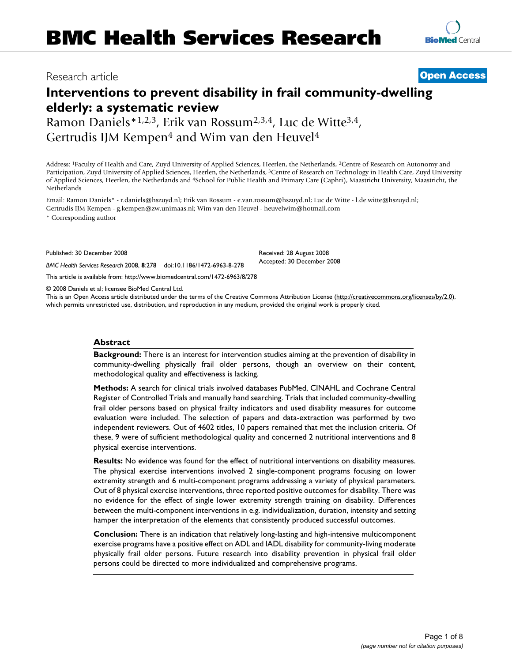# Research article **[Open Access](http://www.biomedcentral.com/info/about/charter/)**

# **Interventions to prevent disability in frail community-dwelling elderly: a systematic review**

Ramon Daniels\*<sup>1,2,3</sup>, Erik van Rossum<sup>2,3,4</sup>, Luc de Witte<sup>3,4</sup>, Gertrudis IJM Kempen<sup>4</sup> and Wim van den Heuvel<sup>4</sup>

Address: 1Faculty of Health and Care, Zuyd University of Applied Sciences, Heerlen, the Netherlands, 2Centre of Research on Autonomy and Participation, Zuyd University of Applied Sciences, Heerlen, the Netherlands, 3Centre of Research on Technology in Health Care, Zuyd University of Applied Sciences, Heerlen, the Netherlands and 4School for Public Health and Primary Care (Caphri), Maastricht University, Maastricht, the Netherlands

Email: Ramon Daniels\* - r.daniels@hszuyd.nl; Erik van Rossum - e.van.rossum@hszuyd.nl; Luc de Witte - l.de.witte@hszuyd.nl; Gertrudis IJM Kempen - g.kempen@zw.unimaas.nl; Wim van den Heuvel - heuvelwim@hotmail.com

\* Corresponding author

Published: 30 December 2008

*BMC Health Services Research* 2008, **8**:278 doi:10.1186/1472-6963-8-278

[This article is available from: http://www.biomedcentral.com/1472-6963/8/278](http://www.biomedcentral.com/1472-6963/8/278)

© 2008 Daniels et al; licensee BioMed Central Ltd.

This is an Open Access article distributed under the terms of the Creative Commons Attribution License [\(http://creativecommons.org/licenses/by/2.0\)](http://creativecommons.org/licenses/by/2.0), which permits unrestricted use, distribution, and reproduction in any medium, provided the original work is properly cited.

Received: 28 August 2008 Accepted: 30 December 2008

# **Abstract**

**Background:** There is an interest for intervention studies aiming at the prevention of disability in community-dwelling physically frail older persons, though an overview on their content, methodological quality and effectiveness is lacking.

**Methods:** A search for clinical trials involved databases PubMed, CINAHL and Cochrane Central Register of Controlled Trials and manually hand searching. Trials that included community-dwelling frail older persons based on physical frailty indicators and used disability measures for outcome evaluation were included. The selection of papers and data-extraction was performed by two independent reviewers. Out of 4602 titles, 10 papers remained that met the inclusion criteria. Of these, 9 were of sufficient methodological quality and concerned 2 nutritional interventions and 8 physical exercise interventions.

**Results:** No evidence was found for the effect of nutritional interventions on disability measures. The physical exercise interventions involved 2 single-component programs focusing on lower extremity strength and 6 multi-component programs addressing a variety of physical parameters. Out of 8 physical exercise interventions, three reported positive outcomes for disability. There was no evidence for the effect of single lower extremity strength training on disability. Differences between the multi-component interventions in e.g. individualization, duration, intensity and setting hamper the interpretation of the elements that consistently produced successful outcomes.

**Conclusion:** There is an indication that relatively long-lasting and high-intensive multicomponent exercise programs have a positive effect on ADL and IADL disability for community-living moderate physically frail older persons. Future research into disability prevention in physical frail older persons could be directed to more individualized and comprehensive programs.

**[BioMed](http://www.biomedcentral.com/)** Central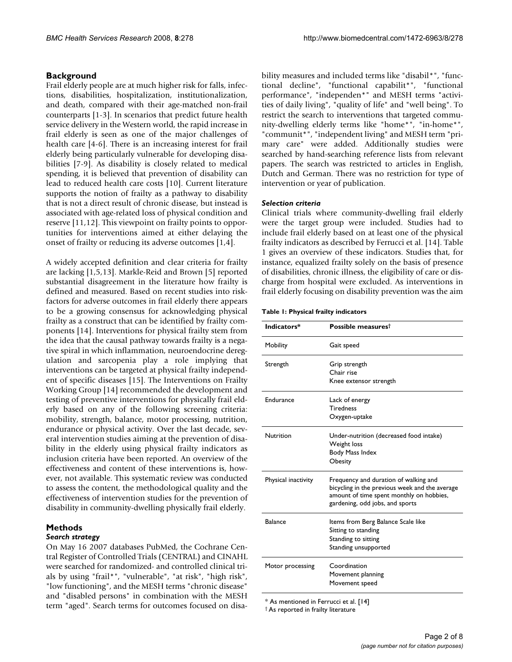# **Background**

Frail elderly people are at much higher risk for falls, infections, disabilities, hospitalization, institutionalization, and death, compared with their age-matched non-frail counterparts [1-3]. In scenarios that predict future health service delivery in the Western world, the rapid increase in frail elderly is seen as one of the major challenges of health care [4-6]. There is an increasing interest for frail elderly being particularly vulnerable for developing disabilities [7-9]. As disability is closely related to medical spending, it is believed that prevention of disability can lead to reduced health care costs [10]. Current literature supports the notion of frailty as a pathway to disability that is not a direct result of chronic disease, but instead is associated with age-related loss of physical condition and reserve [11,12]. This viewpoint on frailty points to opportunities for interventions aimed at either delaying the onset of frailty or reducing its adverse outcomes [1,4].

A widely accepted definition and clear criteria for frailty are lacking [1,5,13]. Markle-Reid and Brown [5] reported substantial disagreement in the literature how frailty is defined and measured. Based on recent studies into riskfactors for adverse outcomes in frail elderly there appears to be a growing consensus for acknowledging physical frailty as a construct that can be identified by frailty components [14]. Interventions for physical frailty stem from the idea that the causal pathway towards frailty is a negative spiral in which inflammation, neuroendocrine deregulation and sarcopenia play a role implying that interventions can be targeted at physical frailty independent of specific diseases [15]. The Interventions on Frailty Working Group [14] recommended the development and testing of preventive interventions for physically frail elderly based on any of the following screening criteria: mobility, strength, balance, motor processing, nutrition, endurance or physical activity. Over the last decade, several intervention studies aiming at the prevention of disability in the elderly using physical frailty indicators as inclusion criteria have been reported. An overview of the effectiveness and content of these interventions is, however, not available. This systematic review was conducted to assess the content, the methodological quality and the effectiveness of intervention studies for the prevention of disability in community-dwelling physically frail elderly.

# **Methods**

# *Search strategy*

On May 16 2007 databases PubMed, the Cochrane Central Register of Controlled Trials (CENTRAL) and CINAHL were searched for randomized- and controlled clinical trials by using "frail\*", "vulnerable", "at risk", "high risk", "low functioning", and the MESH terms "chronic disease" and "disabled persons" in combination with the MESH term "aged". Search terms for outcomes focused on disability measures and included terms like "disabil\*", "functional decline", "functional capabilit\*", "functional performance", "independen\*" and MESH terms "activities of daily living", "quality of life" and "well being". To restrict the search to interventions that targeted community-dwelling elderly terms like "home\*", "in-home\*", "communit\*", "independent living" and MESH term "primary care" were added. Additionally studies were searched by hand-searching reference lists from relevant papers. The search was restricted to articles in English, Dutch and German. There was no restriction for type of intervention or year of publication.

### *Selection criteria*

Clinical trials where community-dwelling frail elderly were the target group were included. Studies had to include frail elderly based on at least one of the physical frailty indicators as described by Ferrucci et al. [14]. Table 1 gives an overview of these indicators. Studies that, for instance, equalized frailty solely on the basis of presence of disabilities, chronic illness, the eligibility of care or discharge from hospital were excluded. As interventions in frail elderly focusing on disability prevention was the aim

|  | Table 1: Physical frailty indicators |  |
|--|--------------------------------------|--|
|--|--------------------------------------|--|

| Indicators*         | Possible measurest                                                                                                                                                     |
|---------------------|------------------------------------------------------------------------------------------------------------------------------------------------------------------------|
| Mobility            | Gait speed                                                                                                                                                             |
| Strength            | Grip strength<br>Chair rise                                                                                                                                            |
|                     | Knee extensor strength                                                                                                                                                 |
| <b>Endurance</b>    | Lack of energy                                                                                                                                                         |
|                     | <b>Tiredness</b><br>Oxygen-uptake                                                                                                                                      |
| Nutrition           | Under-nutrition (decreased food intake)<br>Weight loss<br><b>Body Mass Index</b><br>Obesity                                                                            |
| Physical inactivity | Frequency and duration of walking and<br>bicycling in the previous week and the average<br>amount of time spent monthly on hobbies,<br>gardening, odd jobs, and sports |
| Balance             | Items from Berg Balance Scale like<br>Sitting to standing<br>Standing to sitting<br>Standing unsupported                                                               |
| Motor processing    | Coordination<br>Movement planning<br>Movement speed                                                                                                                    |

\* As mentioned in Ferrucci et al. [14]

† As reported in frailty literature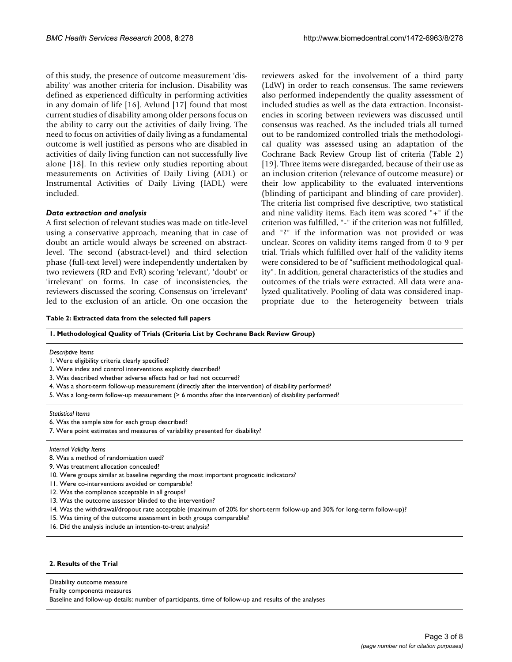of this study, the presence of outcome measurement 'disability' was another criteria for inclusion. Disability was defined as experienced difficulty in performing activities in any domain of life [16]. Avlund [17] found that most current studies of disability among older persons focus on the ability to carry out the activities of daily living. The need to focus on activities of daily living as a fundamental outcome is well justified as persons who are disabled in activities of daily living function can not successfully live alone [18]. In this review only studies reporting about measurements on Activities of Daily Living (ADL) or Instrumental Activities of Daily Living (IADL) were included.

#### *Data extraction and analysis*

A first selection of relevant studies was made on title-level using a conservative approach, meaning that in case of doubt an article would always be screened on abstractlevel. The second (abstract-level) and third selection phase (full-text level) were independently undertaken by two reviewers (RD and EvR) scoring 'relevant', 'doubt' or 'irrelevant' on forms. In case of inconsistencies, the reviewers discussed the scoring. Consensus on 'irrelevant' led to the exclusion of an article. On one occasion the reviewers asked for the involvement of a third party (LdW) in order to reach consensus. The same reviewers also performed independently the quality assessment of included studies as well as the data extraction. Inconsistencies in scoring between reviewers was discussed until consensus was reached. As the included trials all turned out to be randomized controlled trials the methodological quality was assessed using an adaptation of the Cochrane Back Review Group list of criteria (Table 2) [19]. Three items were disregarded, because of their use as an inclusion criterion (relevance of outcome measure) or their low applicability to the evaluated interventions (blinding of participant and blinding of care provider). The criteria list comprised five descriptive, two statistical and nine validity items. Each item was scored "+" if the criterion was fulfilled, "-" if the criterion was not fulfilled, and "?" if the information was not provided or was unclear. Scores on validity items ranged from 0 to 9 per trial. Trials which fulfilled over half of the validity items were considered to be of "sufficient methodological quality". In addition, general characteristics of the studies and outcomes of the trials were extracted. All data were analyzed qualitatively. Pooling of data was considered inappropriate due to the heterogeneity between trials

#### **Table 2: Extracted data from the selected full papers**

#### **1. Methodological Quality of Trials (Criteria List by Cochrane Back Review Group)**

#### *Descriptive Items*

- 1. Were eligibility criteria clearly specified?
- 2. Were index and control interventions explicitly described?
- 3. Was described whether adverse effects had or had not occurred?
- 4. Was a short-term follow-up measurement (directly after the intervention) of disability performed?
- 5. Was a long-term follow-up measurement (> 6 months after the intervention) of disability performed?

*Statistical Items*

- 6. Was the sample size for each group described?
- 7. Were point estimates and measures of variability presented for disability?

#### *Internal Validity Items*

- 8. Was a method of randomization used?
- 9. Was treatment allocation concealed?
- 10. Were groups similar at baseline regarding the most important prognostic indicators?
- 11. Were co-interventions avoided or comparable?
- 12. Was the compliance acceptable in all groups?
- 13. Was the outcome assessor blinded to the intervention?
- 14. Was the withdrawal/dropout rate acceptable (maximum of 20% for short-term follow-up and 30% for long-term follow-up)?
- 15. Was timing of the outcome assessment in both groups comparable?
- 16. Did the analysis include an intention-to-treat analysis?

#### **2. Results of the Trial**

Disability outcome measure

Frailty components measures

Baseline and follow-up details: number of participants, time of follow-up and results of the analyses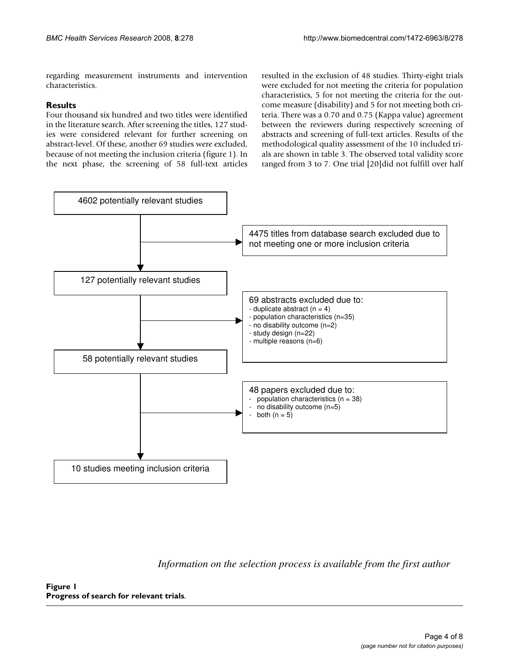regarding measurement instruments and intervention characteristics.

# **Results**

Four thousand six hundred and two titles were identified in the literature search. After screening the titles, 127 studies were considered relevant for further screening on abstract-level. Of these, another 69 studies were excluded, because of not meeting the inclusion criteria (figure 1). In the next phase, the screening of 58 full-text articles resulted in the exclusion of 48 studies. Thirty-eight trials were excluded for not meeting the criteria for population characteristics, 5 for not meeting the criteria for the outcome measure (disability) and 5 for not meeting both criteria. There was a 0.70 and 0.75 (Kappa value) agreement between the reviewers during respectively screening of abstracts and screening of full-text articles. Results of the methodological quality assessment of the 10 included trials are shown in table 3. The observed total validity score ranged from 3 to 7. One trial [20]did not fulfill over half



*Information on the selection process is available from the first author*

**Figure 1 Progress of search for relevant trials**.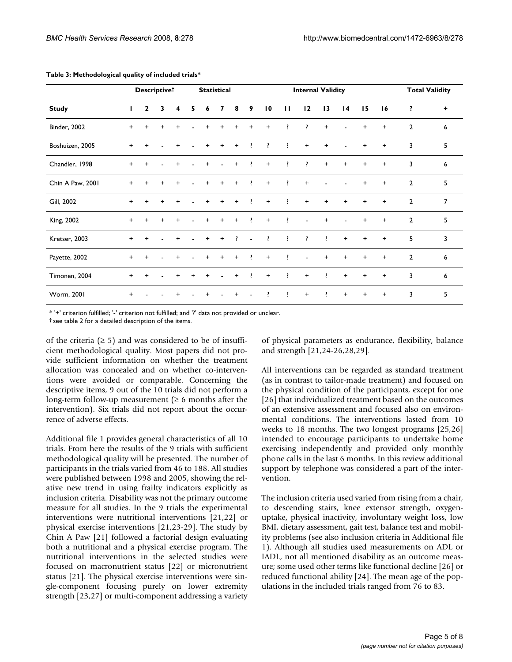|                     | <b>Descriptivet</b> |                          |                | <b>Statistical</b> |                  |           |                |               | <b>Internal Validity</b> | <b>Total Validity</b> |              |                 |                 |                 |           |           |                |                |
|---------------------|---------------------|--------------------------|----------------|--------------------|------------------|-----------|----------------|---------------|--------------------------|-----------------------|--------------|-----------------|-----------------|-----------------|-----------|-----------|----------------|----------------|
| <b>Study</b>        | L.                  | $\mathbf{2}$             | 3              | 4                  | 5.               | 6         | 7              | 8             | 9                        | $\overline{10}$       | $\mathbf{H}$ | $\overline{12}$ | $\overline{13}$ | $\overline{14}$ | 15        | 16        | Ţ.             | $\ddot{}$      |
| <b>Binder, 2002</b> | $\ddot{}$           | $\ddot{}$                | $\ddot{}$      | $\ddot{}$          |                  | $\ddot{}$ | +              | $\ddot{}$     | $\ddot{}$                | $\ddot{}$             | <sup>?</sup> | $\cdot$         | $\ddot{}$       | $\overline{a}$  | $\ddot{}$ | $\ddot{}$ | $\overline{2}$ | 6              |
| Boshuizen, 2005     | $\ddot{}$           | $\ddot{}$                | $\blacksquare$ | $+$                | $\blacksquare$   | $\ddot{}$ | $+$            | $\ddot{}$     | $\cdot$                  | $\cdot$ ?             | $\cdot$      | $\ddot{}$       | $\ddot{}$       | ÷               | $\ddot{}$ | $\ddot{}$ | 3              | 5              |
| Chandler, 1998      | $\ddot{}$           | $\ddot{}$                | $\sim$         | $+$                | $\sim$ 100 $\mu$ | $+$       | $\mathbf{r}$   | $+$           | $\cdot$ ?                | $+$                   | <sup>?</sup> | $\mathcal{L}$   | $\ddot{}$       | $\ddot{}$       | $\ddot{}$ | $\ddot{}$ | 3              | 6              |
| Chin A Paw, 2001    | $\ddot{}$           | $\ddot{}$                | $\ddot{}$      | $\ddot{}$          | $\sim$           | $+$       | $+$            | $+$           | $\cdot$                  | $\ddot{}$             | $\cdot$      | $\ddot{}$       | $\blacksquare$  | $\blacksquare$  | $\ddot{}$ | $\ddot{}$ | $\overline{2}$ | 5              |
| Gill, 2002          | $\ddot{}$           | $+$                      | $+$            | $\ddot{}$          | $\sim$ 100 $\mu$ | $+$       | $+$            | $+$           | $\cdot$ ?                | $+$                   | $\cdot$      | $\ddot{}$       | $\ddot{}$       | $\ddot{}$       | $\ddot{}$ | $\ddot{}$ | $\overline{2}$ | $\overline{7}$ |
| King, 2002          | $+$                 | $+$                      | $+$            |                    |                  |           |                |               | $+$ $ +$ $+$ $+$ $?$ $+$ |                       | $\cdot$ ?    |                 | $ +$            | $\blacksquare$  | $+$       | $\ddot{}$ | $\overline{2}$ | 5              |
| Kretser, 2003       | $\ddot{}$           | $+$                      | $\sim 100$     |                    | $+$ $ +$         |           | $+$            | $\mathcal{L}$ | $\sim$                   | $\sim$ 2              | $\cdot$      | $\cdot$         | $\cdot$         | $\ddot{}$       | $\ddot{}$ | $\ddot{}$ | 5              | 3              |
| Payette, 2002       | $\ddot{}$           | $\ddot{}$                |                | $+$                |                  | $\ddot{}$ | $\ddot{}$      | $+$           | $\cdot$                  | $\ddot{}$             | <sup>?</sup> | $\blacksquare$  | $\ddot{}$       | $\ddot{}$       | $+$       | $\ddot{}$ | $\overline{2}$ | 6              |
| Timonen, 2004       | $\ddot{}$           | $\ddot{}$                |                | $\ddot{}$          | $\ddot{}$        | $+$       | $\blacksquare$ | $+$           | $\cdot$                  | $\ddot{}$             | <sup>?</sup> | $+$             | <sup>?</sup>    | $\ddot{}$       | $\ddot{}$ | $\ddot{}$ | 3              | 6              |
| Worm, 2001          | $\ddot{}$           | $\overline{\phantom{a}}$ |                | $\ddot{}$          | $\blacksquare$   | $+$       | $\blacksquare$ | $+$           | $\blacksquare$           | $\cdot$               | $\cdot$      | $\ddot{}$       | <sup>?</sup>    | $+$             | $\ddot{}$ | $\ddot{}$ | 3              | 5              |

#### **Table 3: Methodological quality of included trials\***

\* '+' criterion fulfilled; '-' criterion not fulfilled; and '?' data not provided or unclear.

† see table 2 for a detailed description of the items.

of the criteria ( $\geq$  5) and was considered to be of insufficient methodological quality. Most papers did not provide sufficient information on whether the treatment allocation was concealed and on whether co-interventions were avoided or comparable. Concerning the descriptive items, 9 out of the 10 trials did not perform a long-term follow-up measurement ( $\geq 6$  months after the intervention). Six trials did not report about the occurrence of adverse effects.

Additional file 1 provides general characteristics of all 10 trials. From here the results of the 9 trials with sufficient methodological quality will be presented. The number of participants in the trials varied from 46 to 188. All studies were published between 1998 and 2005, showing the relative new trend in using frailty indicators explicitly as inclusion criteria. Disability was not the primary outcome measure for all studies. In the 9 trials the experimental interventions were nutritional interventions [21,22] or physical exercise interventions [21,23-29]. The study by Chin A Paw [21] followed a factorial design evaluating both a nutritional and a physical exercise program. The nutritional interventions in the selected studies were focused on macronutrient status [22] or micronutrient status [21]. The physical exercise interventions were single-component focusing purely on lower extremity strength [23,27] or multi-component addressing a variety of physical parameters as endurance, flexibility, balance and strength [21,24-26,28,29].

All interventions can be regarded as standard treatment (as in contrast to tailor-made treatment) and focused on the physical condition of the participants, except for one [26] that individualized treatment based on the outcomes of an extensive assessment and focused also on environmental conditions. The interventions lasted from 10 weeks to 18 months. The two longest programs [25,26] intended to encourage participants to undertake home exercising independently and provided only monthly phone calls in the last 6 months. In this review additional support by telephone was considered a part of the intervention.

The inclusion criteria used varied from rising from a chair, to descending stairs, knee extensor strength, oxygenuptake, physical inactivity, involuntary weight loss, low BMI, dietary assessment, gait test, balance test and mobility problems (see also inclusion criteria in Additional file 1). Although all studies used measurements on ADL or IADL, not all mentioned disability as an outcome measure; some used other terms like functional decline [26] or reduced functional ability [24]. The mean age of the populations in the included trials ranged from 76 to 83.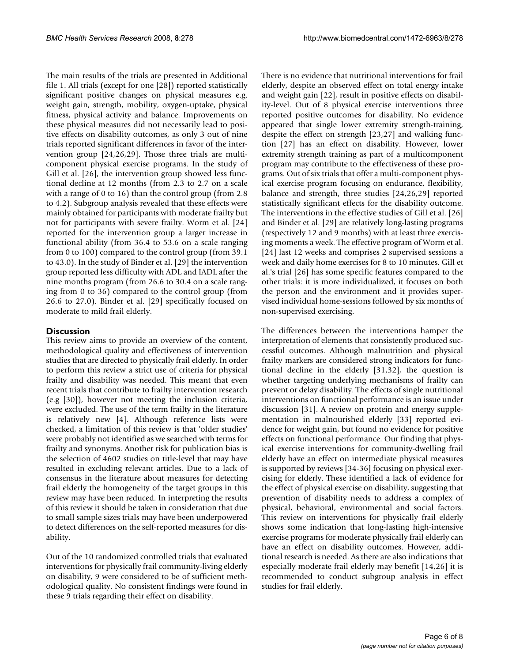The main results of the trials are presented in Additional file 1. All trials (except for one [28]) reported statistically significant positive changes on physical measures e.g. weight gain, strength, mobility, oxygen-uptake, physical fitness, physical activity and balance. Improvements on these physical measures did not necessarily lead to positive effects on disability outcomes, as only 3 out of nine trials reported significant differences in favor of the intervention group [24,26,29]. Those three trials are multicomponent physical exercise programs. In the study of Gill et al. [26], the intervention group showed less functional decline at 12 months (from 2.3 to 2.7 on a scale with a range of 0 to 16) than the control group (from 2.8 to 4.2). Subgroup analysis revealed that these effects were mainly obtained for participants with moderate frailty but not for participants with severe frailty. Worm et al. [24] reported for the intervention group a larger increase in functional ability (from 36.4 to 53.6 on a scale ranging from 0 to 100) compared to the control group (from 39.1 to 43.0). In the study of Binder et al. [29] the intervention group reported less difficulty with ADL and IADL after the nine months program (from 26.6 to 30.4 on a scale ranging from 0 to 36) compared to the control group (from 26.6 to 27.0). Binder et al. [29] specifically focused on moderate to mild frail elderly.

# **Discussion**

This review aims to provide an overview of the content, methodological quality and effectiveness of intervention studies that are directed to physically frail elderly. In order to perform this review a strict use of criteria for physical frailty and disability was needed. This meant that even recent trials that contribute to frailty intervention research (e.g [30]), however not meeting the inclusion criteria, were excluded. The use of the term frailty in the literature is relatively new [4]. Although reference lists were checked, a limitation of this review is that 'older studies' were probably not identified as we searched with terms for frailty and synonyms. Another risk for publication bias is the selection of 4602 studies on title-level that may have resulted in excluding relevant articles. Due to a lack of consensus in the literature about measures for detecting frail elderly the homogeneity of the target groups in this review may have been reduced. In interpreting the results of this review it should be taken in consideration that due to small sample sizes trials may have been underpowered to detect differences on the self-reported measures for disability.

Out of the 10 randomized controlled trials that evaluated interventions for physically frail community-living elderly on disability, 9 were considered to be of sufficient methodological quality. No consistent findings were found in these 9 trials regarding their effect on disability.

There is no evidence that nutritional interventions for frail elderly, despite an observed effect on total energy intake and weight gain [22], result in positive effects on disability-level. Out of 8 physical exercise interventions three reported positive outcomes for disability. No evidence appeared that single lower extremity strength-training, despite the effect on strength [23,27] and walking function [27] has an effect on disability. However, lower extremity strength training as part of a multicomponent program may contribute to the effectiveness of these programs. Out of six trials that offer a multi-component physical exercise program focusing on endurance, flexibility, balance and strength, three studies [24,26,29] reported statistically significant effects for the disability outcome. The interventions in the effective studies of Gill et al. [26] and Binder et al. [29] are relatively long-lasting programs (respectively 12 and 9 months) with at least three exercising moments a week. The effective program of Worm et al. [24] last 12 weeks and comprises 2 supervised sessions a week and daily home exercises for 8 to 10 minutes. Gill et al.'s trial [26] has some specific features compared to the other trials: it is more individualized, it focuses on both the person and the environment and it provides supervised individual home-sessions followed by six months of non-supervised exercising.

The differences between the interventions hamper the interpretation of elements that consistently produced successful outcomes. Although malnutrition and physical frailty markers are considered strong indicators for functional decline in the elderly [31,32], the question is whether targeting underlying mechanisms of frailty can prevent or delay disability. The effects of single nutritional interventions on functional performance is an issue under discussion [31]. A review on protein and energy supplementation in malnourished elderly [33] reported evidence for weight gain, but found no evidence for positive effects on functional performance. Our finding that physical exercise interventions for community-dwelling frail elderly have an effect on intermediate physical measures is supported by reviews [34-36] focusing on physical exercising for elderly. These identified a lack of evidence for the effect of physical exercise on disability, suggesting that prevention of disability needs to address a complex of physical, behavioral, environmental and social factors. This review on interventions for physically frail elderly shows some indication that long-lasting high-intensive exercise programs for moderate physically frail elderly can have an effect on disability outcomes. However, additional research is needed. As there are also indications that especially moderate frail elderly may benefit [14,26] it is recommended to conduct subgroup analysis in effect studies for frail elderly.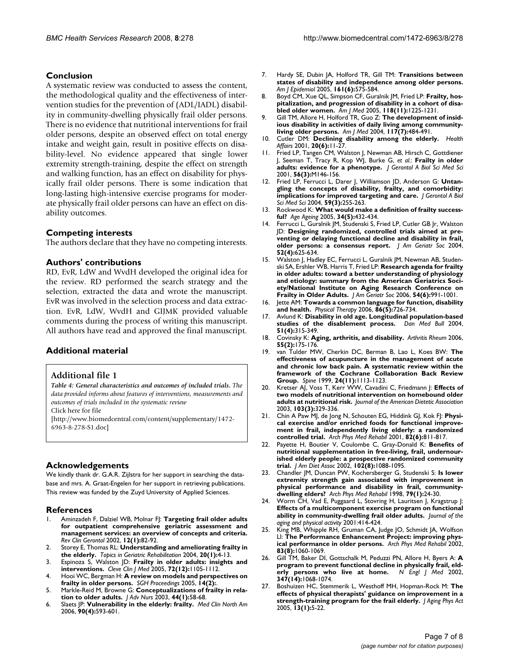# **Conclusion**

A systematic review was conducted to assess the content, the methodological quality and the effectiveness of intervention studies for the prevention of (ADL/IADL) disability in community-dwelling physically frail older persons. There is no evidence that nutritional interventions for frail older persons, despite an observed effect on total energy intake and weight gain, result in positive effects on disability-level. No evidence appeared that single lower extremity strength-training, despite the effect on strength and walking function, has an effect on disability for physically frail older persons. There is some indication that long-lasting high-intensive exercise programs for moderate physically frail older persons can have an effect on disability outcomes.

# **Competing interests**

The authors declare that they have no competing interests.

# **Authors' contributions**

RD, EvR, LdW and WvdH developed the original idea for the review. RD performed the search strategy and the selection, extracted the data and wrote the manuscript. EvR was involved in the selection process and data extraction. EvR, LdW, WvdH and GIJMK provided valuable comments during the process of writing this manuscript. All authors have read and approved the final manuscript.

# **Additional material**

# **Additional file 1**

*Table 4: General characteristics and outcomes of included trials. The data provided informs about features of interventions, measurements and outcomes of trials included in the systematic review*

Click here for file

[\[http://www.biomedcentral.com/content/supplementary/1472-](http://www.biomedcentral.com/content/supplementary/1472-6963-8-278-S1.doc) 6963-8-278-S1.doc]

# **Acknowledgements**

We kindly thank dr. G.A.R. Zijlstra for her support in searching the database and mrs. A. Graat-Engelen for her support in retrieving publications. This review was funded by the Zuyd University of Applied Sciences.

#### **References**

- Aminzadeh F, Dalziel WB, Molnar FJ: [Targeting frail older adults](http://www.ncbi.nlm.nih.gov/entrez/query.fcgi?cmd=Retrieve&db=PubMed&dopt=Abstract&list_uids=16375094) **for outpatient comprehensive geriatric assessment and [management services: an overview of concepts and criteria.](http://www.ncbi.nlm.nih.gov/entrez/query.fcgi?cmd=Retrieve&db=PubMed&dopt=Abstract&list_uids=16375094)** *Rev Clin Gerontol* 2002, **12(1):**82-92.
- 2. Storey E, Thomas RL: **Understanding and ameliorating frailty in the elderly.** *Topics in Geriatric Rehabilitation* 2004, **20(1):**4-13.
- 3. Espinoza S, Walston JD: **[Frailty in older adults: insights and](http://www.ncbi.nlm.nih.gov/entrez/query.fcgi?cmd=Retrieve&db=PubMed&dopt=Abstract&list_uids=16392724) [interventions.](http://www.ncbi.nlm.nih.gov/entrez/query.fcgi?cmd=Retrieve&db=PubMed&dopt=Abstract&list_uids=16392724)** *Cleve Clin J Med* 2005, **72(12):**1105-1112.
- 4. Hooi WC, Bergman H: **A review on models and perspectives on frailty in older persons.** *SGH Proceedings* 2005, **14(2):**.
- 5. Markle-Reid M, Browne G: **[Conceptualizations of frailty in rela](http://www.ncbi.nlm.nih.gov/entrez/query.fcgi?cmd=Retrieve&db=PubMed&dopt=Abstract&list_uids=12956670)[tion to older adults.](http://www.ncbi.nlm.nih.gov/entrez/query.fcgi?cmd=Retrieve&db=PubMed&dopt=Abstract&list_uids=12956670)** *J Adv Nurs* 2003, **44(1):**58-68.
- 6. Slaets JP: **[Vulnerability in the elderly: frailty.](http://www.ncbi.nlm.nih.gov/entrez/query.fcgi?cmd=Retrieve&db=PubMed&dopt=Abstract&list_uids=16843764)** *Med Clin North Am* 2006, **90(4):**593-601.
- 7. Hardy SE, Dubin JA, Holford TR, Gill TM: **[Transitions between](http://www.ncbi.nlm.nih.gov/entrez/query.fcgi?cmd=Retrieve&db=PubMed&dopt=Abstract&list_uids=15746474) [states of disability and independence among older persons.](http://www.ncbi.nlm.nih.gov/entrez/query.fcgi?cmd=Retrieve&db=PubMed&dopt=Abstract&list_uids=15746474)** *Am J Epidemiol* 2005, **161(6):**575-584.
- 8. Boyd CM, Xue QL, Simpson CF, Guralnik JM, Fried LP: **[Frailty, hos](http://www.ncbi.nlm.nih.gov/entrez/query.fcgi?cmd=Retrieve&db=PubMed&dopt=Abstract&list_uids=16271906)[pitalization, and progression of disability in a cohort of disa](http://www.ncbi.nlm.nih.gov/entrez/query.fcgi?cmd=Retrieve&db=PubMed&dopt=Abstract&list_uids=16271906)[bled older women.](http://www.ncbi.nlm.nih.gov/entrez/query.fcgi?cmd=Retrieve&db=PubMed&dopt=Abstract&list_uids=16271906)** *Am J Med* 2005, **118(11):**1225-1231.
- Gill TM, Allore H, Holford TR, Guo Z: [The development of insid](http://www.ncbi.nlm.nih.gov/entrez/query.fcgi?cmd=Retrieve&db=PubMed&dopt=Abstract&list_uids=15464705)**[ious disability in activities of daily living among community](http://www.ncbi.nlm.nih.gov/entrez/query.fcgi?cmd=Retrieve&db=PubMed&dopt=Abstract&list_uids=15464705)[living older persons.](http://www.ncbi.nlm.nih.gov/entrez/query.fcgi?cmd=Retrieve&db=PubMed&dopt=Abstract&list_uids=15464705)** *Am J Med* 2004, **117(7):**484-491.
- 10. Cutler DM: **Declining disability among the elderly.** *Health Affairs* 2001, **20(6):**11-27.
- 11. Fried LP, Tangen CM, Walston J, Newman AB, Hirsch C, Gottdiener J, Seeman T, Tracy R, Kop WJ, Burke G, *et al.*: **[Frailty in older](http://www.ncbi.nlm.nih.gov/entrez/query.fcgi?cmd=Retrieve&db=PubMed&dopt=Abstract&list_uids=11253156) [adults: evidence for a phenotype.](http://www.ncbi.nlm.nih.gov/entrez/query.fcgi?cmd=Retrieve&db=PubMed&dopt=Abstract&list_uids=11253156)** *J Gerontol A Biol Sci Med Sci* 2001, **56(3):**M146-156.
- 12. Fried LP, Ferrucci L, Darer J, Williamson JD, Anderson G: **[Untan](http://www.ncbi.nlm.nih.gov/entrez/query.fcgi?cmd=Retrieve&db=PubMed&dopt=Abstract&list_uids=15031310)[gling the concepts of disability, frailty, and comorbidity:](http://www.ncbi.nlm.nih.gov/entrez/query.fcgi?cmd=Retrieve&db=PubMed&dopt=Abstract&list_uids=15031310) [implications for improved targeting and care.](http://www.ncbi.nlm.nih.gov/entrez/query.fcgi?cmd=Retrieve&db=PubMed&dopt=Abstract&list_uids=15031310)** *J Gerontol A Biol Sci Med Sci* 2004, **59(3):**255-263.
- 13. Rockwood K: **[What would make a definition of frailty success](http://www.ncbi.nlm.nih.gov/entrez/query.fcgi?cmd=Retrieve&db=PubMed&dopt=Abstract&list_uids=16107450)[ful?](http://www.ncbi.nlm.nih.gov/entrez/query.fcgi?cmd=Retrieve&db=PubMed&dopt=Abstract&list_uids=16107450)** *Age Ageing* 2005, **34(5):**432-434.
- 14. Ferrucci L, Guralnik JM, Studenski S, Fried LP, Cutler GB Jr, Walston JD: **[Designing randomized, controlled trials aimed at pre](http://www.ncbi.nlm.nih.gov/entrez/query.fcgi?cmd=Retrieve&db=PubMed&dopt=Abstract&list_uids=15066083)[venting or delaying functional decline and disability in frail,](http://www.ncbi.nlm.nih.gov/entrez/query.fcgi?cmd=Retrieve&db=PubMed&dopt=Abstract&list_uids=15066083) [older persons: a consensus report.](http://www.ncbi.nlm.nih.gov/entrez/query.fcgi?cmd=Retrieve&db=PubMed&dopt=Abstract&list_uids=15066083)** *J Am Geriatr Soc* 2004, **52(4):**625-634.
- 15. Walston J, Hadley EC, Ferrucci L, Guralnik JM, Newman AB, Studenski SA, Ershler WB, Harris T, Fried LP: **[Research agenda for frailty](http://www.ncbi.nlm.nih.gov/entrez/query.fcgi?cmd=Retrieve&db=PubMed&dopt=Abstract&list_uids=16776798) in older adults: toward a better understanding of physiology [and etiology: summary from the American Geriatrics Soci](http://www.ncbi.nlm.nih.gov/entrez/query.fcgi?cmd=Retrieve&db=PubMed&dopt=Abstract&list_uids=16776798)ety/National Institute on Aging Research Conference on [Frailty in Older Adults.](http://www.ncbi.nlm.nih.gov/entrez/query.fcgi?cmd=Retrieve&db=PubMed&dopt=Abstract&list_uids=16776798)** *J Am Geriatr Soc* 2006, **54(6):**991-1001.
- 16. Jette AM: **[Towards a common language for function, disability](http://www.ncbi.nlm.nih.gov/entrez/query.fcgi?cmd=Retrieve&db=PubMed&dopt=Abstract&list_uids=16649895) [and health.](http://www.ncbi.nlm.nih.gov/entrez/query.fcgi?cmd=Retrieve&db=PubMed&dopt=Abstract&list_uids=16649895)** *Physical Therapy* 2006, **86(5):**726-734.
- 17. Avlund K: **[Disability in old age. Longitudinal population-based](http://www.ncbi.nlm.nih.gov/entrez/query.fcgi?cmd=Retrieve&db=PubMed&dopt=Abstract&list_uids=16009060) [studies of the disablement process.](http://www.ncbi.nlm.nih.gov/entrez/query.fcgi?cmd=Retrieve&db=PubMed&dopt=Abstract&list_uids=16009060)** *Dan Med Bull* 2004, **51(4):**315-349.
- 18. Covinsky K: **[Aging, arthritis, and disability.](http://www.ncbi.nlm.nih.gov/entrez/query.fcgi?cmd=Retrieve&db=PubMed&dopt=Abstract&list_uids=16583390)** *Arthritis Rheum* 2006, **55(2):**175-176.
- 19. van Tulder MW, Cherkin DC, Berman B, Lao L, Koes BW: **[The](http://www.ncbi.nlm.nih.gov/entrez/query.fcgi?cmd=Retrieve&db=PubMed&dopt=Abstract&list_uids=10361661) effectiveness of acupuncture in the management of acute [and chronic low back pain. A systematic review within the](http://www.ncbi.nlm.nih.gov/entrez/query.fcgi?cmd=Retrieve&db=PubMed&dopt=Abstract&list_uids=10361661) framework of the Cochrane Collaboration Back Review [Group.](http://www.ncbi.nlm.nih.gov/entrez/query.fcgi?cmd=Retrieve&db=PubMed&dopt=Abstract&list_uids=10361661)** *Spine* 1999, **24(11):**1113-1123.
- 20. Kretser AJ, Voss T, Kerr WW, Cavadini C, Friedmann J: **[Effects of](http://www.ncbi.nlm.nih.gov/entrez/query.fcgi?cmd=Retrieve&db=PubMed&dopt=Abstract&list_uids=12616254) [two models of nutritional intervention on homebound older](http://www.ncbi.nlm.nih.gov/entrez/query.fcgi?cmd=Retrieve&db=PubMed&dopt=Abstract&list_uids=12616254) [adults at nutritional risk.](http://www.ncbi.nlm.nih.gov/entrez/query.fcgi?cmd=Retrieve&db=PubMed&dopt=Abstract&list_uids=12616254)** *Journal of the American Dietetic Association* 2003, **103(3):**329-336.
- 21. Chin A Paw MJ, de Jong N, Schouten EG, Hiddink GJ, Kok FJ: **[Physi](http://www.ncbi.nlm.nih.gov/entrez/query.fcgi?cmd=Retrieve&db=PubMed&dopt=Abstract&list_uids=11387588)[cal exercise and/or enriched foods for functional improve](http://www.ncbi.nlm.nih.gov/entrez/query.fcgi?cmd=Retrieve&db=PubMed&dopt=Abstract&list_uids=11387588)ment in frail, independently living elderly: a randomized [controlled trial.](http://www.ncbi.nlm.nih.gov/entrez/query.fcgi?cmd=Retrieve&db=PubMed&dopt=Abstract&list_uids=11387588)** *Arch Phys Med Rehabil* 2001, **82(6):**811-817.
- 22. Payette H, Boutier V, Coulombe C, Gray-Donald K: **[Benefits of](http://www.ncbi.nlm.nih.gov/entrez/query.fcgi?cmd=Retrieve&db=PubMed&dopt=Abstract&list_uids=12171453) [nutritional supplementation in free-living, frail, undernour](http://www.ncbi.nlm.nih.gov/entrez/query.fcgi?cmd=Retrieve&db=PubMed&dopt=Abstract&list_uids=12171453)ished elderly people: a prospective randomized community [trial.](http://www.ncbi.nlm.nih.gov/entrez/query.fcgi?cmd=Retrieve&db=PubMed&dopt=Abstract&list_uids=12171453)** *J Am Diet Assoc* 2002, **102(8):**1088-1095.
- 23. Chandler JM, Duncan PW, Kochersberger G, Studenski S: **[Is lower](http://www.ncbi.nlm.nih.gov/entrez/query.fcgi?cmd=Retrieve&db=PubMed&dopt=Abstract&list_uids=9440412) [extremity strength gain associated with improvement in](http://www.ncbi.nlm.nih.gov/entrez/query.fcgi?cmd=Retrieve&db=PubMed&dopt=Abstract&list_uids=9440412) physical performance and disability in frail, community[dwelling elders?](http://www.ncbi.nlm.nih.gov/entrez/query.fcgi?cmd=Retrieve&db=PubMed&dopt=Abstract&list_uids=9440412)** *Arch Phys Med Rehabil* 1998, **79(1):**24-30.
- 24. Worm CH, Vad E, Puggaard L, Stovring H, Lauritsen J, Kragstrup J: **Effects of a multicomponent exercise program on functional ability in community-dwelling frail older adults.** *Journal of the aging and physical activity* 2001:414-424.
- King MB, Whipple RH, Gruman CA, Judge JO, Schmidt JA, Wolfson LI: **[The Performance Enhancement Project: improving phys](http://www.ncbi.nlm.nih.gov/entrez/query.fcgi?cmd=Retrieve&db=PubMed&dopt=Abstract&list_uids=12161826)[ical performance in older persons.](http://www.ncbi.nlm.nih.gov/entrez/query.fcgi?cmd=Retrieve&db=PubMed&dopt=Abstract&list_uids=12161826)** *Arch Phys Med Rehabil* 2002, **83(8):**1060-1069.
- 26. Gill TM, Baker DI, Gottschalk M, Peduzzi PN, Allore H, Byers A: **[A](http://www.ncbi.nlm.nih.gov/entrez/query.fcgi?cmd=Retrieve&db=PubMed&dopt=Abstract&list_uids=12362007) [program to prevent functional decline in physically frail, eld](http://www.ncbi.nlm.nih.gov/entrez/query.fcgi?cmd=Retrieve&db=PubMed&dopt=Abstract&list_uids=12362007)[erly persons who live at home.](http://www.ncbi.nlm.nih.gov/entrez/query.fcgi?cmd=Retrieve&db=PubMed&dopt=Abstract&list_uids=12362007)** *N Engl J Med* 2002, **347(14):**1068-1074.
- 27. Boshuizen HC, Stemmerik L, Westhoff MH, Hopman-Rock M: **[The](http://www.ncbi.nlm.nih.gov/entrez/query.fcgi?cmd=Retrieve&db=PubMed&dopt=Abstract&list_uids=15677832) [effects of physical therapists' guidance on improvement in a](http://www.ncbi.nlm.nih.gov/entrez/query.fcgi?cmd=Retrieve&db=PubMed&dopt=Abstract&list_uids=15677832) [strength-training program for the frail elderly.](http://www.ncbi.nlm.nih.gov/entrez/query.fcgi?cmd=Retrieve&db=PubMed&dopt=Abstract&list_uids=15677832)** *J Aging Phys Act* 2005, **13(1):**5-22.